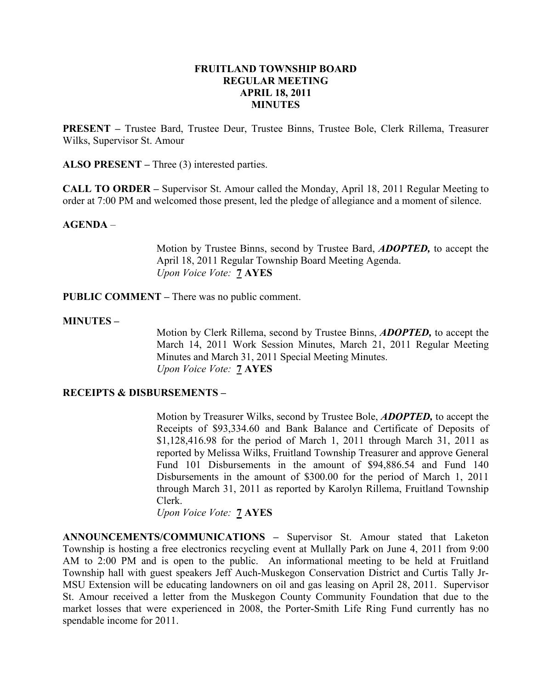## FRUITLAND TOWNSHIP BOARD REGULAR MEETING APRIL 18, 2011 MINUTES

PRESENT – Trustee Bard, Trustee Deur, Trustee Binns, Trustee Bole, Clerk Rillema, Treasurer Wilks, Supervisor St. Amour

ALSO PRESENT – Three (3) interested parties.

CALL TO ORDER – Supervisor St. Amour called the Monday, April 18, 2011 Regular Meeting to order at 7:00 PM and welcomed those present, led the pledge of allegiance and a moment of silence.

## AGENDA –

Motion by Trustee Binns, second by Trustee Bard, ADOPTED, to accept the April 18, 2011 Regular Township Board Meeting Agenda. Upon Voice Vote: **7 AYES** 

PUBLIC COMMENT – There was no public comment.

#### MINUTES –

Motion by Clerk Rillema, second by Trustee Binns, ADOPTED, to accept the March 14, 2011 Work Session Minutes, March 21, 2011 Regular Meeting Minutes and March 31, 2011 Special Meeting Minutes. Upon Voice Vote: 7 AYES

### RECEIPTS & DISBURSEMENTS –

Motion by Treasurer Wilks, second by Trustee Bole, ADOPTED, to accept the Receipts of \$93,334.60 and Bank Balance and Certificate of Deposits of \$1,128,416.98 for the period of March 1, 2011 through March 31, 2011 as reported by Melissa Wilks, Fruitland Township Treasurer and approve General Fund 101 Disbursements in the amount of \$94,886.54 and Fund 140 Disbursements in the amount of \$300.00 for the period of March 1, 2011 through March 31, 2011 as reported by Karolyn Rillema, Fruitland Township Clerk.

Upon Voice Vote: 7 AYES

ANNOUNCEMENTS/COMMUNICATIONS – Supervisor St. Amour stated that Laketon Township is hosting a free electronics recycling event at Mullally Park on June 4, 2011 from 9:00 AM to 2:00 PM and is open to the public. An informational meeting to be held at Fruitland Township hall with guest speakers Jeff Auch-Muskegon Conservation District and Curtis Tally Jr-MSU Extension will be educating landowners on oil and gas leasing on April 28, 2011. Supervisor St. Amour received a letter from the Muskegon County Community Foundation that due to the market losses that were experienced in 2008, the Porter-Smith Life Ring Fund currently has no spendable income for 2011.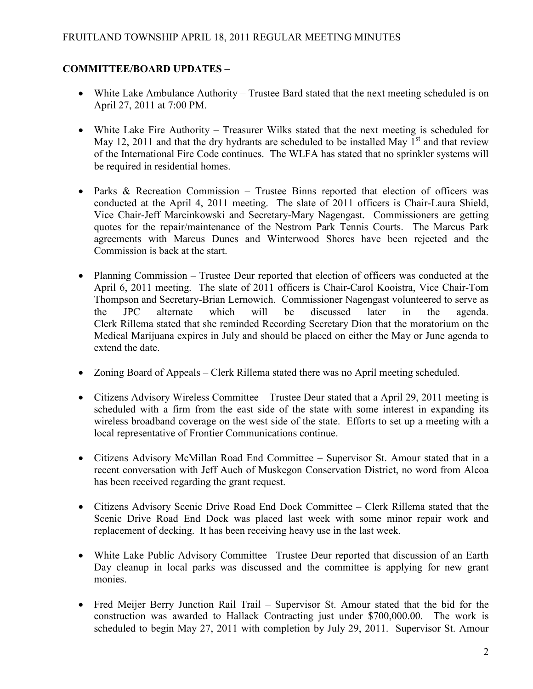# COMMITTEE/BOARD UPDATES –

- White Lake Ambulance Authority Trustee Bard stated that the next meeting scheduled is on April 27, 2011 at 7:00 PM.
- White Lake Fire Authority Treasurer Wilks stated that the next meeting is scheduled for May 12, 2011 and that the dry hydrants are scheduled to be installed May  $1<sup>st</sup>$  and that review of the International Fire Code continues. The WLFA has stated that no sprinkler systems will be required in residential homes.
- Parks & Recreation Commission Trustee Binns reported that election of officers was conducted at the April 4, 2011 meeting. The slate of 2011 officers is Chair-Laura Shield, Vice Chair-Jeff Marcinkowski and Secretary-Mary Nagengast. Commissioners are getting quotes for the repair/maintenance of the Nestrom Park Tennis Courts. The Marcus Park agreements with Marcus Dunes and Winterwood Shores have been rejected and the Commission is back at the start.
- Planning Commission Trustee Deur reported that election of officers was conducted at the April 6, 2011 meeting. The slate of 2011 officers is Chair-Carol Kooistra, Vice Chair-Tom Thompson and Secretary-Brian Lernowich. Commissioner Nagengast volunteered to serve as the JPC alternate which will be discussed later in the agenda. Clerk Rillema stated that she reminded Recording Secretary Dion that the moratorium on the Medical Marijuana expires in July and should be placed on either the May or June agenda to extend the date.
- Zoning Board of Appeals Clerk Rillema stated there was no April meeting scheduled.
- Citizens Advisory Wireless Committee Trustee Deur stated that a April 29, 2011 meeting is scheduled with a firm from the east side of the state with some interest in expanding its wireless broadband coverage on the west side of the state. Efforts to set up a meeting with a local representative of Frontier Communications continue.
- Citizens Advisory McMillan Road End Committee Supervisor St. Amour stated that in a recent conversation with Jeff Auch of Muskegon Conservation District, no word from Alcoa has been received regarding the grant request.
- Citizens Advisory Scenic Drive Road End Dock Committee Clerk Rillema stated that the Scenic Drive Road End Dock was placed last week with some minor repair work and replacement of decking. It has been receiving heavy use in the last week.
- White Lake Public Advisory Committee –Trustee Deur reported that discussion of an Earth Day cleanup in local parks was discussed and the committee is applying for new grant monies.
- Fred Meijer Berry Junction Rail Trail Supervisor St. Amour stated that the bid for the construction was awarded to Hallack Contracting just under \$700,000.00. The work is scheduled to begin May 27, 2011 with completion by July 29, 2011. Supervisor St. Amour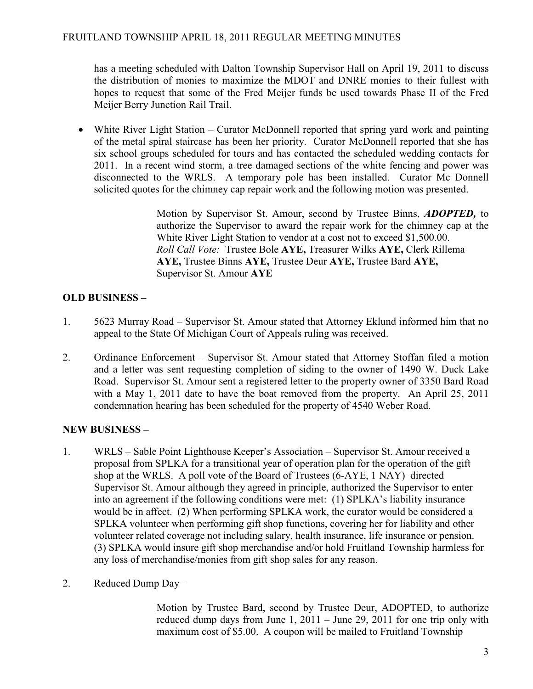has a meeting scheduled with Dalton Township Supervisor Hall on April 19, 2011 to discuss the distribution of monies to maximize the MDOT and DNRE monies to their fullest with hopes to request that some of the Fred Meijer funds be used towards Phase II of the Fred Meijer Berry Junction Rail Trail.

• White River Light Station – Curator McDonnell reported that spring yard work and painting of the metal spiral staircase has been her priority. Curator McDonnell reported that she has six school groups scheduled for tours and has contacted the scheduled wedding contacts for 2011. In a recent wind storm, a tree damaged sections of the white fencing and power was disconnected to the WRLS. A temporary pole has been installed. Curator Mc Donnell solicited quotes for the chimney cap repair work and the following motion was presented.

> Motion by Supervisor St. Amour, second by Trustee Binns, **ADOPTED**, to authorize the Supervisor to award the repair work for the chimney cap at the White River Light Station to vendor at a cost not to exceed \$1,500.00. Roll Call Vote: Trustee Bole AYE, Treasurer Wilks AYE, Clerk Rillema AYE, Trustee Binns AYE, Trustee Deur AYE, Trustee Bard AYE, Supervisor St. Amour AYE

# OLD BUSINESS –

- 1. 5623 Murray Road Supervisor St. Amour stated that Attorney Eklund informed him that no appeal to the State Of Michigan Court of Appeals ruling was received.
- 2. Ordinance Enforcement Supervisor St. Amour stated that Attorney Stoffan filed a motion and a letter was sent requesting completion of siding to the owner of 1490 W. Duck Lake Road. Supervisor St. Amour sent a registered letter to the property owner of 3350 Bard Road with a May 1, 2011 date to have the boat removed from the property. An April 25, 2011 condemnation hearing has been scheduled for the property of 4540 Weber Road.

# NEW BUSINESS –

- 1. WRLS Sable Point Lighthouse Keeper's Association Supervisor St. Amour received a proposal from SPLKA for a transitional year of operation plan for the operation of the gift shop at the WRLS. A poll vote of the Board of Trustees (6-AYE, 1 NAY) directed Supervisor St. Amour although they agreed in principle, authorized the Supervisor to enter into an agreement if the following conditions were met: (1) SPLKA's liability insurance would be in affect. (2) When performing SPLKA work, the curator would be considered a SPLKA volunteer when performing gift shop functions, covering her for liability and other volunteer related coverage not including salary, health insurance, life insurance or pension. (3) SPLKA would insure gift shop merchandise and/or hold Fruitland Township harmless for any loss of merchandise/monies from gift shop sales for any reason.
- 2. Reduced Dump Day –

 Motion by Trustee Bard, second by Trustee Deur, ADOPTED, to authorize reduced dump days from June 1, 2011 – June 29, 2011 for one trip only with maximum cost of \$5.00. A coupon will be mailed to Fruitland Township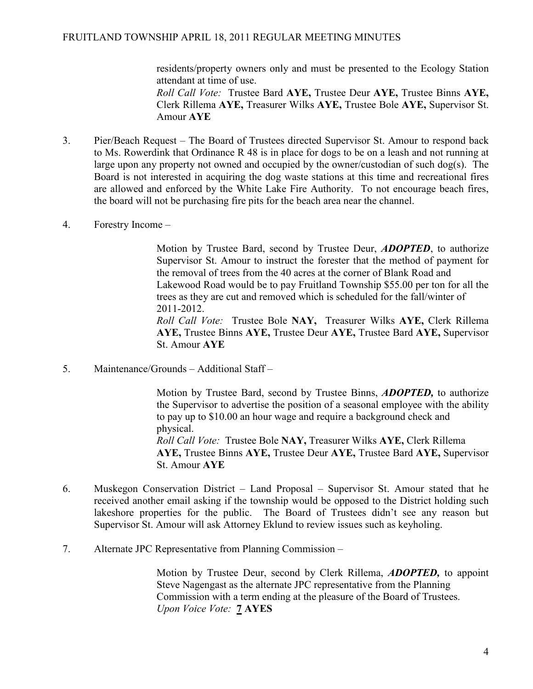residents/property owners only and must be presented to the Ecology Station attendant at time of use.

Roll Call Vote: Trustee Bard AYE, Trustee Deur AYE, Trustee Binns AYE, Clerk Rillema AYE, Treasurer Wilks AYE, Trustee Bole AYE, Supervisor St. Amour AYE

- 3. Pier/Beach Request The Board of Trustees directed Supervisor St. Amour to respond back to Ms. Rowerdink that Ordinance R 48 is in place for dogs to be on a leash and not running at large upon any property not owned and occupied by the owner/custodian of such dog(s). The Board is not interested in acquiring the dog waste stations at this time and recreational fires are allowed and enforced by the White Lake Fire Authority. To not encourage beach fires, the board will not be purchasing fire pits for the beach area near the channel.
- 4. Forestry Income –

Motion by Trustee Bard, second by Trustee Deur, **ADOPTED**, to authorize Supervisor St. Amour to instruct the forester that the method of payment for the removal of trees from the 40 acres at the corner of Blank Road and Lakewood Road would be to pay Fruitland Township \$55.00 per ton for all the trees as they are cut and removed which is scheduled for the fall/winter of 2011-2012.

Roll Call Vote: Trustee Bole NAY, Treasurer Wilks AYE, Clerk Rillema AYE, Trustee Binns AYE, Trustee Deur AYE, Trustee Bard AYE, Supervisor St. Amour AYE

5. Maintenance/Grounds – Additional Staff –

Motion by Trustee Bard, second by Trustee Binns, **ADOPTED**, to authorize the Supervisor to advertise the position of a seasonal employee with the ability to pay up to \$10.00 an hour wage and require a background check and physical. Roll Call Vote: Trustee Bole NAY, Treasurer Wilks AYE, Clerk Rillema AYE, Trustee Binns AYE, Trustee Deur AYE, Trustee Bard AYE, Supervisor St. Amour AYE

- 6. Muskegon Conservation District Land Proposal Supervisor St. Amour stated that he received another email asking if the township would be opposed to the District holding such lakeshore properties for the public. The Board of Trustees didn't see any reason but Supervisor St. Amour will ask Attorney Eklund to review issues such as keyholing.
- 7. Alternate JPC Representative from Planning Commission –

Motion by Trustee Deur, second by Clerk Rillema, **ADOPTED**, to appoint Steve Nagengast as the alternate JPC representative from the Planning Commission with a term ending at the pleasure of the Board of Trustees. Upon Voice Vote: 7 AYES